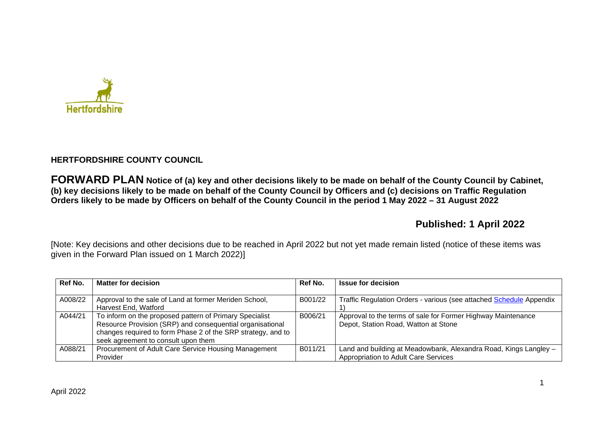

# **HERTFORDSHIRE COUNTY COUNCIL**

**FORWARD PLAN Notice of (a) key and other decisions likely to be made on behalf of the County Council by Cabinet, (b) key decisions likely to be made on behalf of the County Council by Officers and (c) decisions on Traffic Regulation Orders likely to be made by Officers on behalf of the County Council in the period 1 May 2022 – 31 August 2022** 

# **Published: 1 April 2022**

[Note: Key decisions and other decisions due to be reached in April 2022 but not yet made remain listed (notice of these items was given in the Forward Plan issued on 1 March 2022)]

| Ref No. | <b>Matter for decision</b>                                   | Ref No. | <b>Issue for decision</b>                                           |
|---------|--------------------------------------------------------------|---------|---------------------------------------------------------------------|
|         |                                                              |         |                                                                     |
| A008/22 | Approval to the sale of Land at former Meriden School,       | B001/22 | Traffic Regulation Orders - various (see attached Schedule Appendix |
|         | Harvest End, Watford                                         |         |                                                                     |
| A044/21 | To inform on the proposed pattern of Primary Specialist      | B006/21 | Approval to the terms of sale for Former Highway Maintenance        |
|         | Resource Provision (SRP) and consequential organisational    |         | Depot, Station Road, Watton at Stone                                |
|         | changes required to form Phase 2 of the SRP strategy, and to |         |                                                                     |
|         | seek agreement to consult upon them                          |         |                                                                     |
| A088/21 | Procurement of Adult Care Service Housing Management         | B011/21 | Land and building at Meadowbank, Alexandra Road, Kings Langley -    |
|         | Provider                                                     |         | Appropriation to Adult Care Services                                |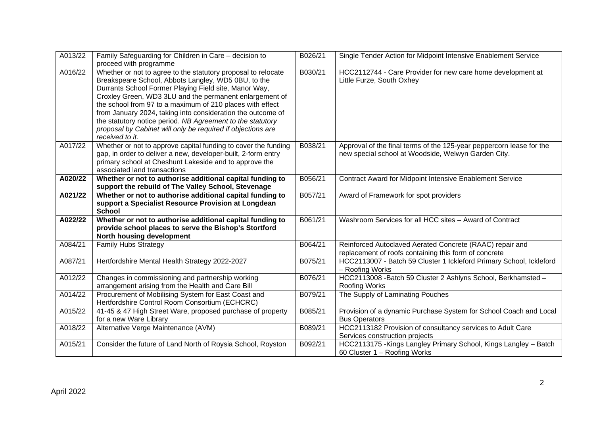| A013/22 | Family Safeguarding for Children in Care - decision to<br>proceed with programme                                                                                                                                                                                                                                                                                                                                                                                                                                     | B026/21 | Single Tender Action for Midpoint Intensive Enablement Service                                                              |
|---------|----------------------------------------------------------------------------------------------------------------------------------------------------------------------------------------------------------------------------------------------------------------------------------------------------------------------------------------------------------------------------------------------------------------------------------------------------------------------------------------------------------------------|---------|-----------------------------------------------------------------------------------------------------------------------------|
| A016/22 | Whether or not to agree to the statutory proposal to relocate<br>Breakspeare School, Abbots Langley, WD5 0BU, to the<br>Durrants School Former Playing Field site, Manor Way,<br>Croxley Green, WD3 3LU and the permanent enlargement of<br>the school from 97 to a maximum of 210 places with effect<br>from January 2024, taking into consideration the outcome of<br>the statutory notice period. NB Agreement to the statutory<br>proposal by Cabinet will only be required if objections are<br>received to it. | B030/21 | HCC2112744 - Care Provider for new care home development at<br>Little Furze, South Oxhey                                    |
| A017/22 | Whether or not to approve capital funding to cover the funding<br>gap, in order to deliver a new, developer-built, 2-form entry<br>primary school at Cheshunt Lakeside and to approve the<br>associated land transactions                                                                                                                                                                                                                                                                                            | B038/21 | Approval of the final terms of the 125-year peppercorn lease for the<br>new special school at Woodside, Welwyn Garden City. |
| A020/22 | Whether or not to authorise additional capital funding to<br>support the rebuild of The Valley School, Stevenage                                                                                                                                                                                                                                                                                                                                                                                                     | B056/21 | <b>Contract Award for Midpoint Intensive Enablement Service</b>                                                             |
| A021/22 | Whether or not to authorise additional capital funding to<br>support a Specialist Resource Provision at Longdean<br><b>School</b>                                                                                                                                                                                                                                                                                                                                                                                    | B057/21 | Award of Framework for spot providers                                                                                       |
| A022/22 | Whether or not to authorise additional capital funding to<br>provide school places to serve the Bishop's Stortford<br>North housing development                                                                                                                                                                                                                                                                                                                                                                      | B061/21 | Washroom Services for all HCC sites - Award of Contract                                                                     |
| A084/21 | <b>Family Hubs Strategy</b>                                                                                                                                                                                                                                                                                                                                                                                                                                                                                          | B064/21 | Reinforced Autoclaved Aerated Concrete (RAAC) repair and<br>replacement of roofs containing this form of concrete           |
| A087/21 | Hertfordshire Mental Health Strategy 2022-2027                                                                                                                                                                                                                                                                                                                                                                                                                                                                       | B075/21 | HCC2113007 - Batch 59 Cluster 1 Ickleford Primary School, Ickleford<br>- Roofing Works                                      |
| A012/22 | Changes in commissioning and partnership working<br>arrangement arising from the Health and Care Bill                                                                                                                                                                                                                                                                                                                                                                                                                | B076/21 | HCC2113008 - Batch 59 Cluster 2 Ashlyns School, Berkhamsted -<br>Roofing Works                                              |
| A014/22 | Procurement of Mobilising System for East Coast and<br>Hertfordshire Control Room Consortium (ECHCRC)                                                                                                                                                                                                                                                                                                                                                                                                                | B079/21 | The Supply of Laminating Pouches                                                                                            |
| A015/22 | 41-45 & 47 High Street Ware, proposed purchase of property<br>for a new Ware Library                                                                                                                                                                                                                                                                                                                                                                                                                                 | B085/21 | Provision of a dynamic Purchase System for School Coach and Local<br><b>Bus Operators</b>                                   |
| A018/22 | Alternative Verge Maintenance (AVM)                                                                                                                                                                                                                                                                                                                                                                                                                                                                                  | B089/21 | HCC2113182 Provision of consultancy services to Adult Care<br>Services construction projects                                |
| A015/21 | Consider the future of Land North of Roysia School, Royston                                                                                                                                                                                                                                                                                                                                                                                                                                                          | B092/21 | HCC2113175 - Kings Langley Primary School, Kings Langley - Batch<br>60 Cluster 1 - Roofing Works                            |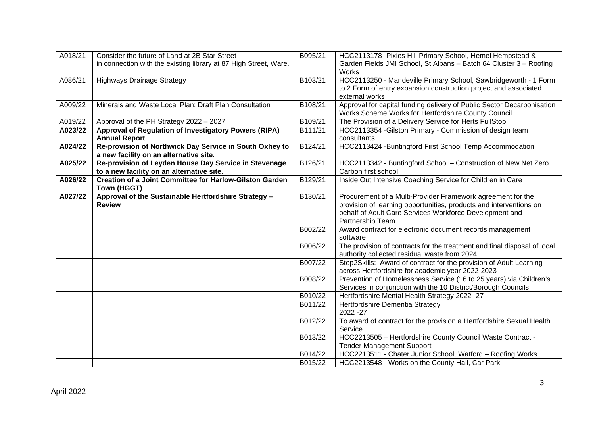| A018/21 | Consider the future of Land at 2B Star Street                         | B095/21 | HCC2113178 - Pixies Hill Primary School, Hemel Hempstead &               |
|---------|-----------------------------------------------------------------------|---------|--------------------------------------------------------------------------|
|         | in connection with the existing library at 87 High Street, Ware.      |         | Garden Fields JMI School, St Albans - Batch 64 Cluster 3 - Roofing       |
|         |                                                                       |         | <b>Works</b>                                                             |
| A086/21 | <b>Highways Drainage Strategy</b>                                     | B103/21 | HCC2113250 - Mandeville Primary School, Sawbridgeworth - 1 Form          |
|         |                                                                       |         | to 2 Form of entry expansion construction project and associated         |
|         |                                                                       |         | external works                                                           |
| A009/22 | Minerals and Waste Local Plan: Draft Plan Consultation                | B108/21 | Approval for capital funding delivery of Public Sector Decarbonisation   |
|         |                                                                       |         | Works Scheme Works for Hertfordshire County Council                      |
| A019/22 | Approval of the PH Strategy 2022 - 2027                               | B109/21 | The Provision of a Delivery Service for Herts FullStop                   |
| A023/22 | Approval of Regulation of Investigatory Powers (RIPA)                 | B111/21 | HCC2113354 - Gilston Primary - Commission of design team                 |
|         | <b>Annual Report</b>                                                  |         | consultants                                                              |
| A024/22 | Re-provision of Northwick Day Service in South Oxhey to               | B124/21 | HCC2113424 - Buntingford First School Temp Accommodation                 |
|         | a new facility on an alternative site.                                |         |                                                                          |
| A025/22 | Re-provision of Leyden House Day Service in Stevenage                 | B126/21 | HCC2113342 - Buntingford School - Construction of New Net Zero           |
|         | to a new facility on an alternative site.                             |         | Carbon first school                                                      |
| A026/22 | <b>Creation of a Joint Committee for Harlow-Gilston Garden</b>        | B129/21 | Inside Out Intensive Coaching Service for Children in Care               |
|         | Town (HGGT)                                                           |         | Procurement of a Multi-Provider Framework agreement for the              |
| A027/22 | Approval of the Sustainable Hertfordshire Strategy -<br><b>Review</b> | B130/21 | provision of learning opportunities, products and interventions on       |
|         |                                                                       |         | behalf of Adult Care Services Workforce Development and                  |
|         |                                                                       |         | Partnership Team                                                         |
|         |                                                                       | B002/22 | Award contract for electronic document records management                |
|         |                                                                       |         | software                                                                 |
|         |                                                                       | B006/22 | The provision of contracts for the treatment and final disposal of local |
|         |                                                                       |         | authority collected residual waste from 2024                             |
|         |                                                                       | B007/22 | Step2Skills: Award of contract for the provision of Adult Learning       |
|         |                                                                       |         | across Hertfordshire for academic year 2022-2023                         |
|         |                                                                       | B008/22 | Prevention of Homelessness Service (16 to 25 years) via Children's       |
|         |                                                                       |         | Services in conjunction with the 10 District/Borough Councils            |
|         |                                                                       | B010/22 | Hertfordshire Mental Health Strategy 2022-27                             |
|         |                                                                       | B011/22 | Hertfordshire Dementia Strategy                                          |
|         |                                                                       |         | 2022 - 27                                                                |
|         |                                                                       | B012/22 | To award of contract for the provision a Hertfordshire Sexual Health     |
|         |                                                                       |         | Service                                                                  |
|         |                                                                       | B013/22 | HCC2213505 - Hertfordshire County Council Waste Contract -               |
|         |                                                                       |         | <b>Tender Management Support</b>                                         |
|         |                                                                       | B014/22 | HCC2213511 - Chater Junior School, Watford - Roofing Works               |
|         |                                                                       | B015/22 | HCC2213548 - Works on the County Hall, Car Park                          |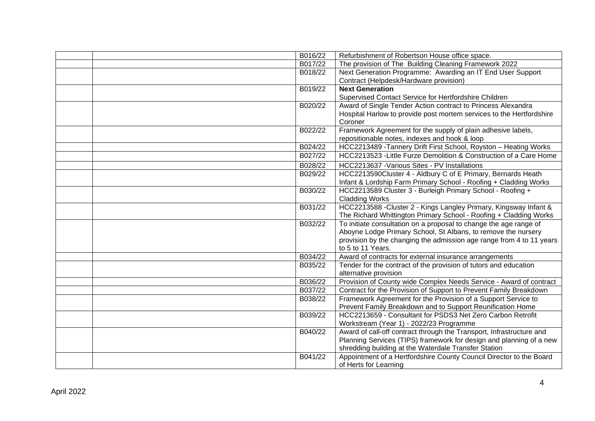| B016/22 | Refurbishment of Robertson House office space.                       |
|---------|----------------------------------------------------------------------|
| B017/22 | The provision of The Building Cleaning Framework 2022                |
| B018/22 | Next Generation Programme: Awarding an IT End User Support           |
|         | Contract (Helpdesk/Hardware provision)                               |
| B019/22 | <b>Next Generation</b>                                               |
|         | Supervised Contact Service for Hertfordshire Children                |
| B020/22 | Award of Single Tender Action contract to Princess Alexandra         |
|         | Hospital Harlow to provide post mortem services to the Hertfordshire |
|         | Coroner                                                              |
| B022/22 | Framework Agreement for the supply of plain adhesive labels,         |
|         | repositionable notes, indexes and hook & loop                        |
| B024/22 | HCC2213489 - Tannery Drift First School, Royston - Heating Works     |
| B027/22 | HCC2213523 - Little Furze Demolition & Construction of a Care Home   |
| B028/22 | HCC2213637 - Various Sites - PV Installations                        |
| B029/22 | HCC2213590Cluster 4 - Aldbury C of E Primary, Bernards Heath         |
|         | Infant & Lordship Farm Primary School - Roofing + Cladding Works     |
| B030/22 | HCC2213589 Cluster 3 - Burleigh Primary School - Roofing +           |
|         | <b>Cladding Works</b>                                                |
| B031/22 | HCC2213588 - Cluster 2 - Kings Langley Primary, Kingsway Infant &    |
|         | The Richard Whittington Primary School - Roofing + Cladding Works    |
| B032/22 | To initiate consultation on a proposal to change the age range of    |
|         | Aboyne Lodge Primary School, St Albans, to remove the nursery        |
|         | provision by the changing the admission age range from 4 to 11 years |
|         | to 5 to 11 Years.                                                    |
| B034/22 | Award of contracts for external insurance arrangements               |
| B035/22 | Tender for the contract of the provision of tutors and education     |
|         | alternative provision                                                |
| B036/22 | Provision of County wide Complex Needs Service - Award of contract   |
| B037/22 | Contract for the Provision of Support to Prevent Family Breakdown    |
| B038/22 | Framework Agreement for the Provision of a Support Service to        |
|         | Prevent Family Breakdown and to Support Reunification Home           |
| B039/22 | HCC2213659 - Consultant for PSDS3 Net Zero Carbon Retrofit           |
|         | Workstream (Year 1) - 2022/23 Programme                              |
| B040/22 | Award of call-off contract through the Transport, Infrastructure and |
|         | Planning Services (TIPS) framework for design and planning of a new  |
|         | shredding building at the Waterdale Transfer Station                 |
| B041/22 | Appointment of a Hertfordshire County Council Director to the Board  |
|         | of Herts for Learning                                                |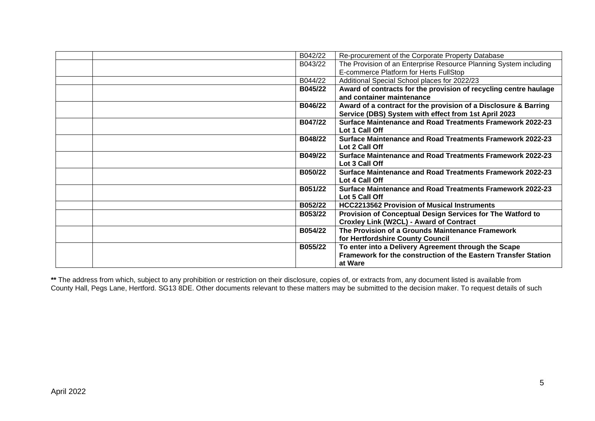| B042/22 | Re-procurement of the Corporate Property Database                 |
|---------|-------------------------------------------------------------------|
| B043/22 | The Provision of an Enterprise Resource Planning System including |
|         | E-commerce Platform for Herts FullStop                            |
| B044/22 | Additional Special School places for 2022/23                      |
| B045/22 | Award of contracts for the provision of recycling centre haulage  |
|         | and container maintenance                                         |
| B046/22 | Award of a contract for the provision of a Disclosure & Barring   |
|         | Service (DBS) System with effect from 1st April 2023              |
| B047/22 | Surface Maintenance and Road Treatments Framework 2022-23         |
|         | Lot 1 Call Off                                                    |
| B048/22 | Surface Maintenance and Road Treatments Framework 2022-23         |
|         | Lot 2 Call Off                                                    |
| B049/22 | <b>Surface Maintenance and Road Treatments Framework 2022-23</b>  |
|         | Lot 3 Call Off                                                    |
| B050/22 | Surface Maintenance and Road Treatments Framework 2022-23         |
|         | Lot 4 Call Off                                                    |
| B051/22 | Surface Maintenance and Road Treatments Framework 2022-23         |
|         | Lot 5 Call Off                                                    |
| B052/22 | <b>HCC2213562 Provision of Musical Instruments</b>                |
| B053/22 | Provision of Conceptual Design Services for The Watford to        |
|         | <b>Croxley Link (W2CL) - Award of Contract</b>                    |
| B054/22 | The Provision of a Grounds Maintenance Framework                  |
|         | for Hertfordshire County Council                                  |
| B055/22 | To enter into a Delivery Agreement through the Scape              |
|         | Framework for the construction of the Eastern Transfer Station    |
|         | at Ware                                                           |

**\*\*** The address from which, subject to any prohibition or restriction on their disclosure, copies of, or extracts from, any document listed is available from County Hall, Pegs Lane, Hertford. SG13 8DE. Other documents relevant to these matters may be submitted to the decision maker. To request details of such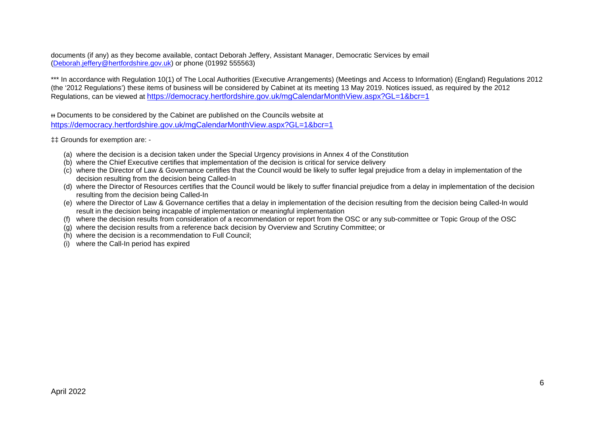documents (if any) as they become available, contact Deborah Jeffery, Assistant Manager, Democratic Services by email [\(Deborah.jeffery@hertfordshire.gov.uk\)](mailto:Deborah.jeffery@hertfordshire.gov.uk) or phone (01992 555563)

\*\*\* In accordance with Regulation 10(1) of The Local Authorities (Executive Arrangements) (Meetings and Access to Information) (England) Regulations 2012 (the '2012 Regulations') these items of business will be considered by Cabinet at its meeting 13 May 2019. Notices issued, as required by the 2012 Regulations, can be viewed at <https://democracy.hertfordshire.gov.uk/mgCalendarMonthView.aspx?GL=1&bcr=1>

ᵻᵻ Documents to be considered by the Cabinet are published on the Councils website at <https://democracy.hertfordshire.gov.uk/mgCalendarMonthView.aspx?GL=1&bcr=1>

‡‡ Grounds for exemption are: -

- (a) where the decision is a decision taken under the Special Urgency provisions in Annex 4 of the Constitution
- (b) where the Chief Executive certifies that implementation of the decision is critical for service delivery
- (c) where the Director of Law & Governance certifies that the Council would be likely to suffer legal prejudice from a delay in implementation of the decision resulting from the decision being Called-In
- (d) where the Director of Resources certifies that the Council would be likely to suffer financial prejudice from a delay in implementation of the decision resulting from the decision being Called-In
- (e) where the Director of Law & Governance certifies that a delay in implementation of the decision resulting from the decision being Called-In would result in the decision being incapable of implementation or meaningful implementation
- (f) where the decision results from consideration of a recommendation or report from the OSC or any sub-committee or Topic Group of the OSC
- (g) where the decision results from a reference back decision by Overview and Scrutiny Committee; or
- (h) where the decision is a recommendation to Full Council;
- (i) where the Call-In period has expired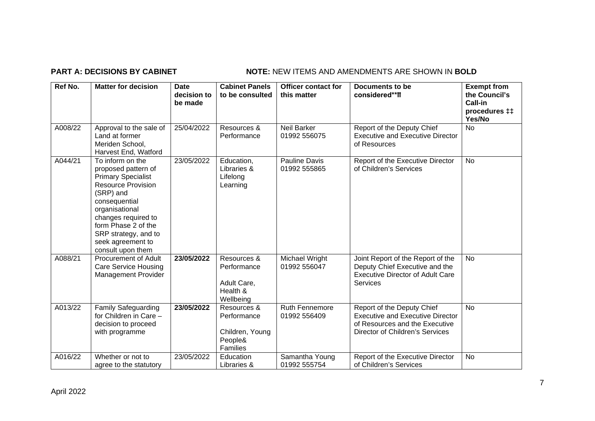# **PART A: DECISIONS BY CABINET NOTE:** NEW ITEMS AND AMENDMENTS ARE SHOWN IN BOLD

| Ref No. | <b>Matter for decision</b>                                                                                                                                                                                                                                        | Date<br>decision to<br>be made | <b>Cabinet Panels</b><br>to be consulted                             | Officer contact for<br>this matter    | Documents to be<br>considered**ff                                                                                                          | <b>Exempt from</b><br>the Council's<br>Call-in<br>procedures <sub>#</sub><br>Yes/No |
|---------|-------------------------------------------------------------------------------------------------------------------------------------------------------------------------------------------------------------------------------------------------------------------|--------------------------------|----------------------------------------------------------------------|---------------------------------------|--------------------------------------------------------------------------------------------------------------------------------------------|-------------------------------------------------------------------------------------|
| A008/22 | Approval to the sale of<br>Land at former<br>Meriden School,<br>Harvest End, Watford                                                                                                                                                                              | 25/04/2022                     | Resources &<br>Performance                                           | <b>Neil Barker</b><br>01992 556075    | Report of the Deputy Chief<br><b>Executive and Executive Director</b><br>of Resources                                                      | <b>No</b>                                                                           |
| A044/21 | To inform on the<br>proposed pattern of<br><b>Primary Specialist</b><br><b>Resource Provision</b><br>(SRP) and<br>consequential<br>organisational<br>changes required to<br>form Phase 2 of the<br>SRP strategy, and to<br>seek agreement to<br>consult upon them | 23/05/2022                     | Education,<br>Libraries &<br>Lifelong<br>Learning                    | <b>Pauline Davis</b><br>01992 555865  | Report of the Executive Director<br>of Children's Services                                                                                 | <b>No</b>                                                                           |
| A088/21 | <b>Procurement of Adult</b><br><b>Care Service Housing</b><br><b>Management Provider</b>                                                                                                                                                                          | 23/05/2022                     | Resources &<br>Performance<br>Adult Care,<br>Health &<br>Wellbeing   | Michael Wright<br>01992 556047        | Joint Report of the Report of the<br>Deputy Chief Executive and the<br><b>Executive Director of Adult Care</b><br><b>Services</b>          | <b>No</b>                                                                           |
| A013/22 | <b>Family Safeguarding</b><br>for Children in Care -<br>decision to proceed<br>with programme                                                                                                                                                                     | 23/05/2022                     | Resources &<br>Performance<br>Children, Young<br>People&<br>Families | <b>Ruth Fennemore</b><br>01992 556409 | Report of the Deputy Chief<br><b>Executive and Executive Director</b><br>of Resources and the Executive<br>Director of Children's Services | <b>No</b>                                                                           |
| A016/22 | Whether or not to<br>agree to the statutory                                                                                                                                                                                                                       | 23/05/2022                     | Education<br>Libraries &                                             | Samantha Young<br>01992 555754        | Report of the Executive Director<br>of Children's Services                                                                                 | <b>No</b>                                                                           |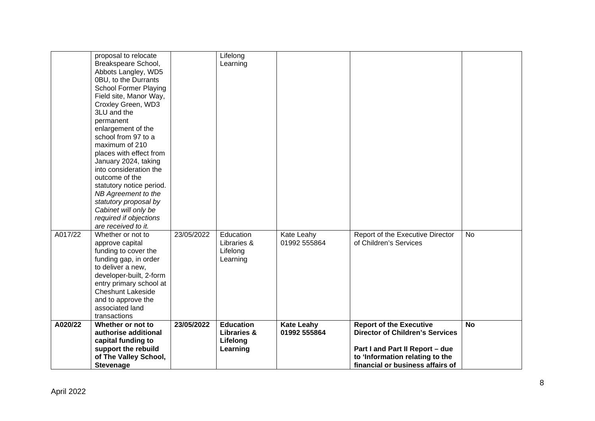|         | proposal to relocate<br>Breakspeare School,<br>Abbots Langley, WD5<br>0BU, to the Durrants<br><b>School Former Playing</b><br>Field site, Manor Way,<br>Croxley Green, WD3<br>3LU and the<br>permanent<br>enlargement of the<br>school from 97 to a<br>maximum of 210<br>places with effect from<br>January 2024, taking<br>into consideration the<br>outcome of the<br>statutory notice period.<br>NB Agreement to the<br>statutory proposal by<br>Cabinet will only be<br>required if objections<br>are received to it. |            | Lifelong<br>Learning                                               |                                   |                                                                                                                                                                                    |           |
|---------|---------------------------------------------------------------------------------------------------------------------------------------------------------------------------------------------------------------------------------------------------------------------------------------------------------------------------------------------------------------------------------------------------------------------------------------------------------------------------------------------------------------------------|------------|--------------------------------------------------------------------|-----------------------------------|------------------------------------------------------------------------------------------------------------------------------------------------------------------------------------|-----------|
| A017/22 | Whether or not to<br>approve capital<br>funding to cover the<br>funding gap, in order<br>to deliver a new,<br>developer-built, 2-form<br>entry primary school at<br><b>Cheshunt Lakeside</b><br>and to approve the<br>associated land<br>transactions                                                                                                                                                                                                                                                                     | 23/05/2022 | Education<br>Libraries &<br>Lifelong<br>Learning                   | Kate Leahy<br>01992 555864        | Report of the Executive Director<br>of Children's Services                                                                                                                         | <b>No</b> |
| A020/22 | Whether or not to<br>authorise additional<br>capital funding to<br>support the rebuild<br>of The Valley School,<br><b>Stevenage</b>                                                                                                                                                                                                                                                                                                                                                                                       | 23/05/2022 | <b>Education</b><br><b>Libraries &amp;</b><br>Lifelong<br>Learning | <b>Kate Leahy</b><br>01992 555864 | <b>Report of the Executive</b><br><b>Director of Children's Services</b><br>Part I and Part II Report - due<br>to 'Information relating to the<br>financial or business affairs of | <b>No</b> |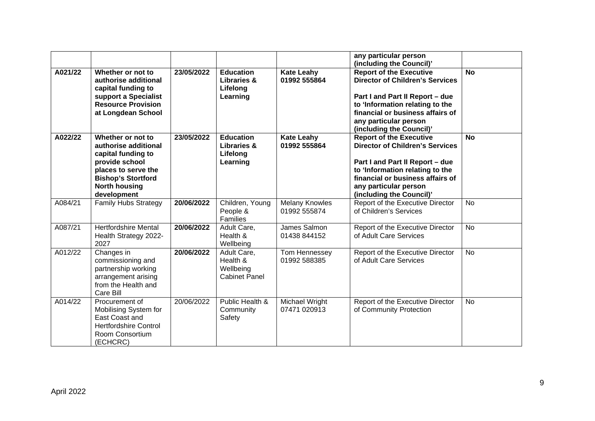|         |                                                                                                                                                                              |            |                                                                    |                                       | any particular person<br>(including the Council)'                                                                                                                                                                                       |           |
|---------|------------------------------------------------------------------------------------------------------------------------------------------------------------------------------|------------|--------------------------------------------------------------------|---------------------------------------|-----------------------------------------------------------------------------------------------------------------------------------------------------------------------------------------------------------------------------------------|-----------|
| A021/22 | Whether or not to<br>authorise additional<br>capital funding to<br>support a Specialist<br><b>Resource Provision</b><br>at Longdean School                                   | 23/05/2022 | <b>Education</b><br><b>Libraries &amp;</b><br>Lifelong<br>Learning | <b>Kate Leahy</b><br>01992 555864     | <b>Report of the Executive</b><br><b>Director of Children's Services</b><br>Part I and Part II Report - due<br>to 'Information relating to the<br>financial or business affairs of<br>any particular person<br>(including the Council)' | <b>No</b> |
| A022/22 | Whether or not to<br>authorise additional<br>capital funding to<br>provide school<br>places to serve the<br><b>Bishop's Stortford</b><br><b>North housing</b><br>development | 23/05/2022 | <b>Education</b><br><b>Libraries &amp;</b><br>Lifelong<br>Learning | <b>Kate Leahy</b><br>01992 555864     | <b>Report of the Executive</b><br><b>Director of Children's Services</b><br>Part I and Part II Report - due<br>to 'Information relating to the<br>financial or business affairs of<br>any particular person<br>(including the Council)' | <b>No</b> |
| A084/21 | <b>Family Hubs Strategy</b>                                                                                                                                                  | 20/06/2022 | Children, Young<br>People &<br>Families                            | <b>Melany Knowles</b><br>01992 555874 | Report of the Executive Director<br>of Children's Services                                                                                                                                                                              | <b>No</b> |
| A087/21 | <b>Hertfordshire Mental</b><br>Health Strategy 2022-<br>2027                                                                                                                 | 20/06/2022 | Adult Care,<br>Health &<br>Wellbeing                               | James Salmon<br>01438 844152          | Report of the Executive Director<br>of Adult Care Services                                                                                                                                                                              | <b>No</b> |
| A012/22 | Changes in<br>commissioning and<br>partnership working<br>arrangement arising<br>from the Health and<br>Care Bill                                                            | 20/06/2022 | Adult Care,<br>Health &<br>Wellbeing<br><b>Cabinet Panel</b>       | Tom Hennessey<br>01992 588385         | Report of the Executive Director<br>of Adult Care Services                                                                                                                                                                              | <b>No</b> |
| A014/22 | Procurement of<br>Mobilising System for<br>East Coast and<br><b>Hertfordshire Control</b><br>Room Consortium<br>(ECHCRC)                                                     | 20/06/2022 | Public Health &<br>Community<br>Safety                             | Michael Wright<br>07471 020913        | Report of the Executive Director<br>of Community Protection                                                                                                                                                                             | No        |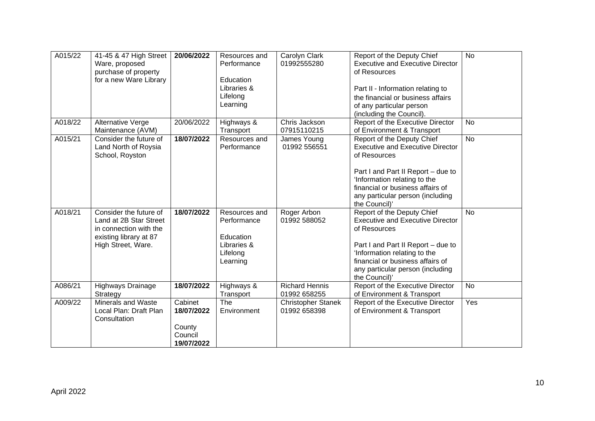| A015/22 | 41-45 & 47 High Street<br>Ware, proposed<br>purchase of property<br>for a new Ware Library                                 | 20/06/2022                                               | Resources and<br>Performance<br>Education<br>Libraries &<br>Lifelong<br>Learning | Carolyn Clark<br>01992555280              | Report of the Deputy Chief<br><b>Executive and Executive Director</b><br>of Resources<br>Part II - Information relating to<br>the financial or business affairs<br>of any particular person<br>(including the Council).                              | <b>No</b> |
|---------|----------------------------------------------------------------------------------------------------------------------------|----------------------------------------------------------|----------------------------------------------------------------------------------|-------------------------------------------|------------------------------------------------------------------------------------------------------------------------------------------------------------------------------------------------------------------------------------------------------|-----------|
| A018/22 | <b>Alternative Verge</b><br>Maintenance (AVM)                                                                              | 20/06/2022                                               | Highways &<br>Transport                                                          | Chris Jackson<br>07915110215              | Report of the Executive Director<br>of Environment & Transport                                                                                                                                                                                       | <b>No</b> |
| A015/21 | Consider the future of<br>Land North of Roysia<br>School, Royston                                                          | 18/07/2022                                               | Resources and<br>Performance                                                     | James Young<br>01992 556551               | Report of the Deputy Chief<br><b>Executive and Executive Director</b><br>of Resources<br>Part I and Part II Report - due to<br>'Information relating to the<br>financial or business affairs of<br>any particular person (including<br>the Council)' | <b>No</b> |
| A018/21 | Consider the future of<br>Land at 2B Star Street<br>in connection with the<br>existing library at 87<br>High Street, Ware. | 18/07/2022                                               | Resources and<br>Performance<br>Education<br>Libraries &<br>Lifelong<br>Learning | Roger Arbon<br>01992 588052               | Report of the Deputy Chief<br><b>Executive and Executive Director</b><br>of Resources<br>Part I and Part II Report - due to<br>'Information relating to the<br>financial or business affairs of<br>any particular person (including<br>the Council)' | <b>No</b> |
| A086/21 | Highways Drainage<br>Strategy                                                                                              | 18/07/2022                                               | Highways &<br>Transport                                                          | <b>Richard Hennis</b><br>01992 658255     | Report of the Executive Director<br>of Environment & Transport                                                                                                                                                                                       | <b>No</b> |
| A009/22 | <b>Minerals and Waste</b><br>Local Plan: Draft Plan<br>Consultation                                                        | Cabinet<br>18/07/2022<br>County<br>Council<br>19/07/2022 | The<br>Environment                                                               | <b>Christopher Stanek</b><br>01992 658398 | Report of the Executive Director<br>of Environment & Transport                                                                                                                                                                                       | Yes       |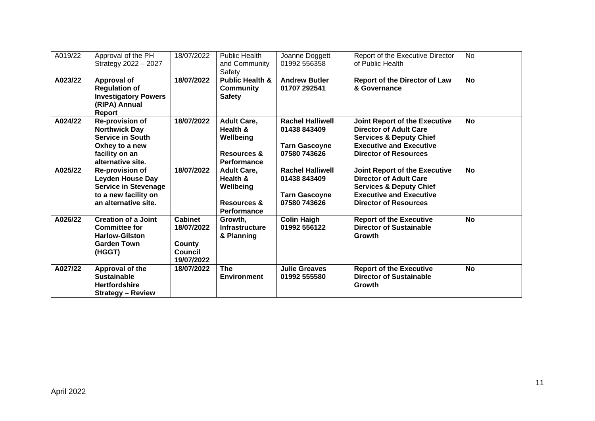| A019/22 | Approval of the PH<br>Strategy 2022 - 2027                                                                                         | 18/07/2022                                                             | <b>Public Health</b><br>and Community<br>Safety                                             | Joanne Doggett<br>01992 556358                                                  | Report of the Executive Director<br>of Public Health                                                                                                                          | <b>No</b> |
|---------|------------------------------------------------------------------------------------------------------------------------------------|------------------------------------------------------------------------|---------------------------------------------------------------------------------------------|---------------------------------------------------------------------------------|-------------------------------------------------------------------------------------------------------------------------------------------------------------------------------|-----------|
| A023/22 | <b>Approval of</b><br><b>Regulation of</b><br><b>Investigatory Powers</b><br>(RIPA) Annual<br>Report                               | 18/07/2022                                                             | <b>Public Health &amp;</b><br><b>Community</b><br><b>Safety</b>                             | <b>Andrew Butler</b><br>01707 292541                                            | <b>Report of the Director of Law</b><br>& Governance                                                                                                                          | <b>No</b> |
| A024/22 | <b>Re-provision of</b><br><b>Northwick Day</b><br><b>Service in South</b><br>Oxhey to a new<br>facility on an<br>alternative site. | 18/07/2022                                                             | <b>Adult Care,</b><br>Health &<br>Wellbeing<br><b>Resources &amp;</b><br>Performance        | <b>Rachel Halliwell</b><br>01438 843409<br><b>Tarn Gascoyne</b><br>07580 743626 | <b>Joint Report of the Executive</b><br><b>Director of Adult Care</b><br><b>Services &amp; Deputy Chief</b><br><b>Executive and Executive</b><br><b>Director of Resources</b> | <b>No</b> |
| A025/22 | <b>Re-provision of</b><br><b>Leyden House Day</b><br><b>Service in Stevenage</b><br>to a new facility on<br>an alternative site.   | 18/07/2022                                                             | <b>Adult Care,</b><br>Health &<br>Wellbeing<br><b>Resources &amp;</b><br><b>Performance</b> | <b>Rachel Halliwell</b><br>01438 843409<br><b>Tarn Gascoyne</b><br>07580 743626 | <b>Joint Report of the Executive</b><br><b>Director of Adult Care</b><br><b>Services &amp; Deputy Chief</b><br><b>Executive and Executive</b><br><b>Director of Resources</b> | <b>No</b> |
| A026/22 | <b>Creation of a Joint</b><br><b>Committee for</b><br><b>Harlow-Gilston</b><br><b>Garden Town</b><br>(HGGT)                        | <b>Cabinet</b><br>18/07/2022<br>County<br><b>Council</b><br>19/07/2022 | Growth,<br><b>Infrastructure</b><br>& Planning                                              | <b>Colin Haigh</b><br>01992 556122                                              | <b>Report of the Executive</b><br><b>Director of Sustainable</b><br><b>Growth</b>                                                                                             | <b>No</b> |
| A027/22 | Approval of the<br><b>Sustainable</b><br><b>Hertfordshire</b><br><b>Strategy - Review</b>                                          | 18/07/2022                                                             | <b>The</b><br><b>Environment</b>                                                            | <b>Julie Greaves</b><br>01992 555580                                            | <b>Report of the Executive</b><br><b>Director of Sustainable</b><br>Growth                                                                                                    | <b>No</b> |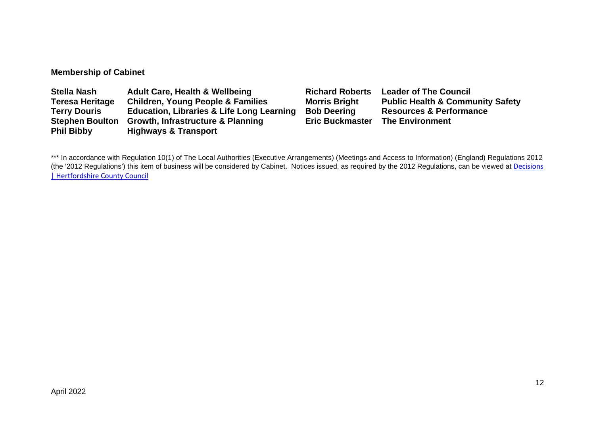# **Membership of Cabinet**

| <b>Stella Nash</b>     | <b>Adult Care, Health &amp; Wellbeing</b>            | <b>Richard Roberts</b> | <b>Leader of The Council</b>                |
|------------------------|------------------------------------------------------|------------------------|---------------------------------------------|
| <b>Teresa Heritage</b> | <b>Children, Young People &amp; Families</b>         | <b>Morris Bright</b>   | <b>Public Health &amp; Community Safety</b> |
| <b>Terry Douris</b>    | <b>Education, Libraries &amp; Life Long Learning</b> | <b>Bob Deering</b>     | <b>Resources &amp; Performance</b>          |
| <b>Stephen Boulton</b> | <b>Growth, Infrastructure &amp; Planning</b>         | <b>Eric Buckmaster</b> | <b>The Environment</b>                      |
| <b>Phil Bibby</b>      | <b>Highways &amp; Transport</b>                      |                        |                                             |

\*\*\* In accordance with Regulation 10(1) of The Local Authorities (Executive Arrangements) (Meetings and Access to Information) (England) Regulations 2012 (the '2012 Regulations') this item of business will be considered by Cabinet. Notices issued, as required by the 2012 Regulations, can be viewed at Decisions [| Hertfordshire County Council](https://www.hertfordshire.gov.uk/About-the-council/freedom-of-information-and-council-data/Open-Data-Statistics-about-Hertfordshire/How-we-make-decisions/Decisions/Decisions.aspx#keydecisions)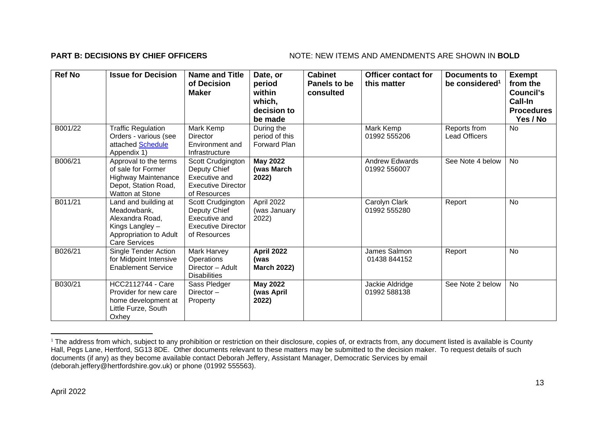## **PART B: DECISIONS BY CHIEF OFFICERS** NOTE: NEW ITEMS AND AMENDMENTS ARE SHOWN IN BOLD

| <b>Ref No</b> | <b>Issue for Decision</b>                                                                                                   | <b>Name and Title</b><br>of Decision<br><b>Maker</b>                                            | Date, or<br>period<br>within<br>which,<br>decision to<br>be made | <b>Cabinet</b><br>Panels to be<br>consulted | <b>Officer contact for</b><br>this matter | <b>Documents to</b><br>be considered <sup>1</sup> | <b>Exempt</b><br>from the<br>Council's<br>Call-In<br><b>Procedures</b><br>Yes / No |
|---------------|-----------------------------------------------------------------------------------------------------------------------------|-------------------------------------------------------------------------------------------------|------------------------------------------------------------------|---------------------------------------------|-------------------------------------------|---------------------------------------------------|------------------------------------------------------------------------------------|
| B001/22       | <b>Traffic Regulation</b><br>Orders - various (see<br>attached Schedule<br>Appendix 1)                                      | Mark Kemp<br><b>Director</b><br>Environment and<br>Infrastructure                               | During the<br>period of this<br><b>Forward Plan</b>              |                                             | Mark Kemp<br>01992 555206                 | Reports from<br><b>Lead Officers</b>              | <b>No</b>                                                                          |
| B006/21       | Approval to the terms<br>of sale for Former<br><b>Highway Maintenance</b><br>Depot, Station Road,<br>Watton at Stone        | Scott Crudgington<br>Deputy Chief<br>Executive and<br><b>Executive Director</b><br>of Resources | <b>May 2022</b><br>(was March<br>2022)                           |                                             | <b>Andrew Edwards</b><br>01992 556007     | See Note 4 below                                  | <b>No</b>                                                                          |
| B011/21       | Land and building at<br>Meadowbank,<br>Alexandra Road,<br>Kings Langley -<br>Appropriation to Adult<br><b>Care Services</b> | Scott Crudgington<br>Deputy Chief<br>Executive and<br><b>Executive Director</b><br>of Resources | April 2022<br>(was January<br>2022)                              |                                             | Carolyn Clark<br>01992 555280             | Report                                            | No                                                                                 |
| B026/21       | Single Tender Action<br>for Midpoint Intensive<br><b>Enablement Service</b>                                                 | Mark Harvey<br>Operations<br>Director - Adult<br><b>Disabilities</b>                            | <b>April 2022</b><br>(was<br><b>March 2022)</b>                  |                                             | James Salmon<br>01438 844152              | Report                                            | No                                                                                 |
| B030/21       | <b>HCC2112744 - Care</b><br>Provider for new care<br>home development at<br>Little Furze, South<br>Oxhey                    | Sass Pledger<br>Director $-$<br>Property                                                        | <b>May 2022</b><br>(was April<br>2022)                           |                                             | Jackie Aldridge<br>01992 588138           | See Note 2 below                                  | No                                                                                 |

<sup>&</sup>lt;sup>1</sup> The address from which, subject to any prohibition or restriction on their disclosure, copies of, or extracts from, any document listed is available is County Hall, Pegs Lane, Hertford, SG13 8DE. Other documents relevant to these matters may be submitted to the decision maker. To request details of such documents (if any) as they become available contact Deborah Jeffery, Assistant Manager, Democratic Services by email (deborah.jeffery@hertfordshire.gov.uk) or phone (01992 555563).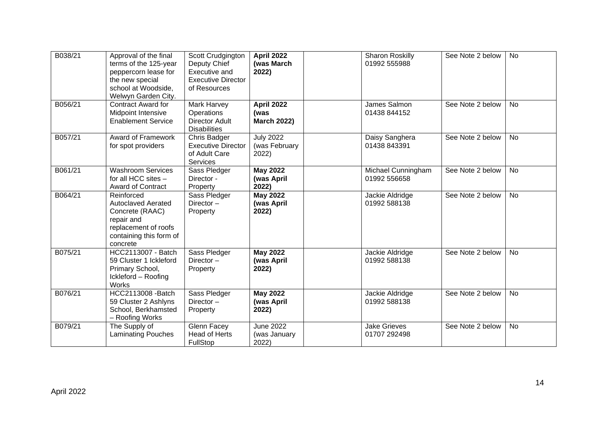| B038/21 | Approval of the final<br>terms of the 125-year<br>peppercorn lease for<br>the new special<br>school at Woodside,<br>Welwyn Garden City. | Scott Crudgington<br>Deputy Chief<br>Executive and<br><b>Executive Director</b><br>of Resources | April 2022<br>(was March<br>2022)               | <b>Sharon Roskilly</b><br>01992 555988 | See Note 2 below | <b>No</b> |
|---------|-----------------------------------------------------------------------------------------------------------------------------------------|-------------------------------------------------------------------------------------------------|-------------------------------------------------|----------------------------------------|------------------|-----------|
| B056/21 | <b>Contract Award for</b><br>Midpoint Intensive<br><b>Enablement Service</b>                                                            | Mark Harvey<br>Operations<br><b>Director Adult</b><br><b>Disabilities</b>                       | <b>April 2022</b><br>(was<br><b>March 2022)</b> | James Salmon<br>01438 844152           | See Note 2 below | <b>No</b> |
| B057/21 | Award of Framework<br>for spot providers                                                                                                | Chris Badger<br><b>Executive Director</b><br>of Adult Care<br>Services                          | <b>July 2022</b><br>(was February<br>2022)      | Daisy Sanghera<br>01438 843391         | See Note 2 below | <b>No</b> |
| B061/21 | <b>Washroom Services</b><br>for all HCC sites -<br>Award of Contract                                                                    | Sass Pledger<br>Director -<br>Property                                                          | <b>May 2022</b><br>(was April<br>2022)          | Michael Cunningham<br>01992 556658     | See Note 2 below | No        |
| B064/21 | Reinforced<br><b>Autoclaved Aerated</b><br>Concrete (RAAC)<br>repair and<br>replacement of roofs<br>containing this form of<br>concrete | Sass Pledger<br>Director-<br>Property                                                           | <b>May 2022</b><br>(was April<br>2022)          | Jackie Aldridge<br>01992 588138        | See Note 2 below | <b>No</b> |
| B075/21 | HCC2113007 - Batch<br>59 Cluster 1 Ickleford<br>Primary School,<br>Ickleford - Roofing<br><b>Works</b>                                  | Sass Pledger<br>Director-<br>Property                                                           | <b>May 2022</b><br>(was April<br>2022)          | Jackie Aldridge<br>01992 588138        | See Note 2 below | <b>No</b> |
| B076/21 | HCC2113008 - Batch<br>59 Cluster 2 Ashlyns<br>School, Berkhamsted<br>- Roofing Works                                                    | Sass Pledger<br>Director-<br>Property                                                           | <b>May 2022</b><br>(was April<br>2022)          | Jackie Aldridge<br>01992 588138        | See Note 2 below | No        |
| B079/21 | The Supply of<br><b>Laminating Pouches</b>                                                                                              | Glenn Facey<br><b>Head of Herts</b><br>FullStop                                                 | <b>June 2022</b><br>(was January<br>2022)       | <b>Jake Grieves</b><br>01707 292498    | See Note 2 below | No        |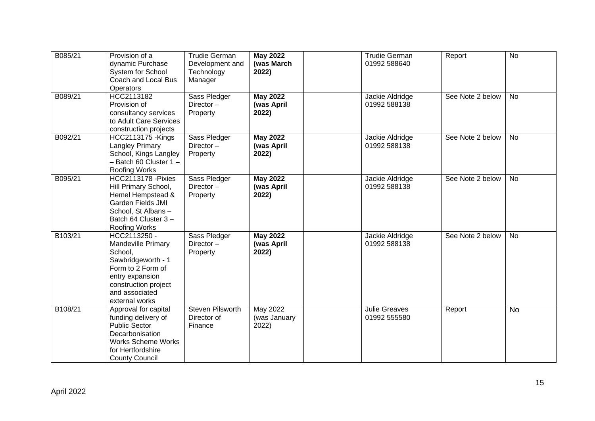| B085/21 | Provision of a<br>dynamic Purchase<br>System for School<br>Coach and Local Bus<br>Operators                                                                                    | <b>Trudie German</b><br>Development and<br>Technology<br>Manager | <b>May 2022</b><br>(was March<br>2022) | <b>Trudie German</b><br>01992 588640 | Report           | <b>No</b> |
|---------|--------------------------------------------------------------------------------------------------------------------------------------------------------------------------------|------------------------------------------------------------------|----------------------------------------|--------------------------------------|------------------|-----------|
| B089/21 | HCC2113182<br>Provision of<br>consultancy services<br>to Adult Care Services<br>construction projects                                                                          | Sass Pledger<br>Director-<br>Property                            | <b>May 2022</b><br>(was April<br>2022) | Jackie Aldridge<br>01992 588138      | See Note 2 below | <b>No</b> |
| B092/21 | <b>HCC2113175 - Kings</b><br><b>Langley Primary</b><br>School, Kings Langley<br>$-$ Batch 60 Cluster 1 $-$<br>Roofing Works                                                    | Sass Pledger<br>Director-<br>Property                            | <b>May 2022</b><br>(was April<br>2022) | Jackie Aldridge<br>01992 588138      | See Note 2 below | <b>No</b> |
| B095/21 | <b>HCC2113178 - Pixies</b><br>Hill Primary School,<br>Hemel Hempstead &<br>Garden Fields JMI<br>School, St Albans-<br>Batch 64 Cluster 3-<br>Roofing Works                     | Sass Pledger<br>Director-<br>Property                            | <b>May 2022</b><br>(was April<br>2022) | Jackie Aldridge<br>01992 588138      | See Note 2 below | <b>No</b> |
| B103/21 | HCC2113250 -<br><b>Mandeville Primary</b><br>School,<br>Sawbridgeworth - 1<br>Form to 2 Form of<br>entry expansion<br>construction project<br>and associated<br>external works | Sass Pledger<br>Director-<br>Property                            | <b>May 2022</b><br>(was April<br>2022) | Jackie Aldridge<br>01992 588138      | See Note 2 below | <b>No</b> |
| B108/21 | Approval for capital<br>funding delivery of<br><b>Public Sector</b><br>Decarbonisation<br><b>Works Scheme Works</b><br>for Hertfordshire<br><b>County Council</b>              | Steven Pilsworth<br>Director of<br>Finance                       | May 2022<br>(was January<br>2022)      | <b>Julie Greaves</b><br>01992 555580 | Report           | <b>No</b> |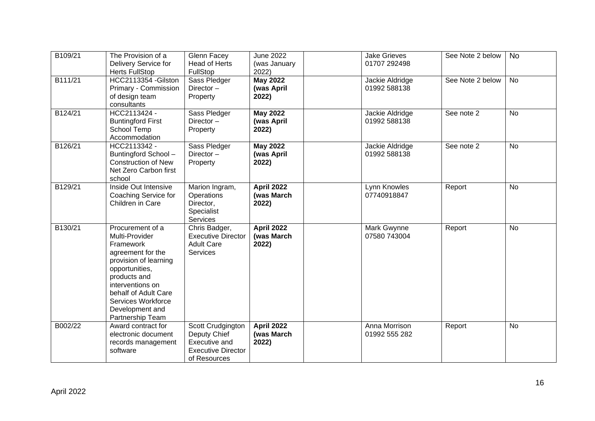| B109/21 | The Provision of a<br>Delivery Service for<br><b>Herts FullStop</b>                                                                                                                                                                      | Glenn Facey<br><b>Head of Herts</b><br>FullStop                                                 | <b>June 2022</b><br>(was January<br>2022) | <b>Jake Grieves</b><br>01707 292498 | See Note 2 below | <b>No</b> |
|---------|------------------------------------------------------------------------------------------------------------------------------------------------------------------------------------------------------------------------------------------|-------------------------------------------------------------------------------------------------|-------------------------------------------|-------------------------------------|------------------|-----------|
| B111/21 | HCC2113354 - Gilston<br>Primary - Commission<br>of design team<br>consultants                                                                                                                                                            | Sass Pledger<br>Director-<br>Property                                                           | <b>May 2022</b><br>(was April<br>2022)    | Jackie Aldridge<br>01992 588138     | See Note 2 below | <b>No</b> |
| B124/21 | HCC2113424 -<br><b>Buntingford First</b><br>School Temp<br>Accommodation                                                                                                                                                                 | Sass Pledger<br>Director-<br>Property                                                           | <b>May 2022</b><br>(was April<br>2022)    | Jackie Aldridge<br>01992 588138     | See note 2       | <b>No</b> |
| B126/21 | HCC2113342 -<br>Buntingford School-<br><b>Construction of New</b><br>Net Zero Carbon first<br>school                                                                                                                                     | Sass Pledger<br>Director-<br>Property                                                           | <b>May 2022</b><br>(was April<br>2022)    | Jackie Aldridge<br>01992 588138     | See note 2       | <b>No</b> |
| B129/21 | Inside Out Intensive<br>Coaching Service for<br>Children in Care                                                                                                                                                                         | Marion Ingram,<br>Operations<br>Director,<br>Specialist<br><b>Services</b>                      | <b>April 2022</b><br>(was March<br>2022)  | Lynn Knowles<br>07740918847         | Report           | <b>No</b> |
| B130/21 | Procurement of a<br>Multi-Provider<br>Framework<br>agreement for the<br>provision of learning<br>opportunities,<br>products and<br>interventions on<br>behalf of Adult Care<br>Services Workforce<br>Development and<br>Partnership Team | Chris Badger,<br><b>Executive Director</b><br><b>Adult Care</b><br><b>Services</b>              | <b>April 2022</b><br>(was March<br>2022)  | Mark Gwynne<br>07580 743004         | Report           | <b>No</b> |
| B002/22 | Award contract for<br>electronic document<br>records management<br>software                                                                                                                                                              | Scott Crudgington<br>Deputy Chief<br>Executive and<br><b>Executive Director</b><br>of Resources | <b>April 2022</b><br>(was March<br>2022)  | Anna Morrison<br>01992 555 282      | Report           | <b>No</b> |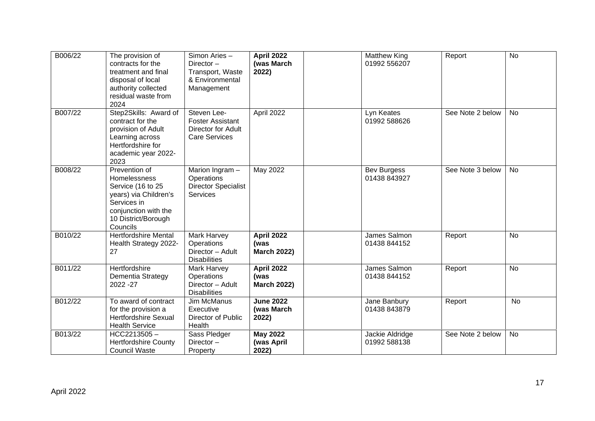| B006/22 | The provision of<br>contracts for the<br>treatment and final<br>disposal of local<br>authority collected<br>residual waste from<br>2024               | Simon Aries-<br>Director $-$<br>Transport, Waste<br>& Environmental<br>Management    | <b>April 2022</b><br>(was March<br>2022)        | <b>Matthew King</b><br>01992 556207 | Report           | <b>No</b> |
|---------|-------------------------------------------------------------------------------------------------------------------------------------------------------|--------------------------------------------------------------------------------------|-------------------------------------------------|-------------------------------------|------------------|-----------|
| B007/22 | Step2Skills: Award of<br>contract for the<br>provision of Adult<br>Learning across<br>Hertfordshire for<br>academic year 2022-<br>2023                | Steven Lee-<br><b>Foster Assistant</b><br>Director for Adult<br><b>Care Services</b> | April 2022                                      | Lyn Keates<br>01992 588626          | See Note 2 below | No        |
| B008/22 | Prevention of<br>Homelessness<br>Service (16 to 25<br>years) via Children's<br>Services in<br>conjunction with the<br>10 District/Borough<br>Councils | Marion Ingram -<br>Operations<br><b>Director Specialist</b><br><b>Services</b>       | <b>May 2022</b>                                 | <b>Bev Burgess</b><br>01438 843927  | See Note 3 below | <b>No</b> |
| B010/22 | <b>Hertfordshire Mental</b><br>Health Strategy 2022-<br>27                                                                                            | Mark Harvey<br>Operations<br>Director - Adult<br><b>Disabilities</b>                 | <b>April 2022</b><br>(was<br><b>March 2022)</b> | James Salmon<br>01438 844152        | Report           | No        |
| B011/22 | Hertfordshire<br>Dementia Strategy<br>2022 - 27                                                                                                       | Mark Harvey<br>Operations<br>Director - Adult<br><b>Disabilities</b>                 | <b>April 2022</b><br>(was<br><b>March 2022)</b> | James Salmon<br>01438 844152        | Report           | <b>No</b> |
| B012/22 | To award of contract<br>for the provision a<br><b>Hertfordshire Sexual</b><br><b>Health Service</b>                                                   | <b>Jim McManus</b><br>Executive<br>Director of Public<br>Health                      | <b>June 2022</b><br>(was March<br>2022)         | Jane Banbury<br>01438 843879        | Report           | <b>No</b> |
| B013/22 | HCC2213505-<br><b>Hertfordshire County</b><br><b>Council Waste</b>                                                                                    | Sass Pledger<br>Director-<br>Property                                                | <b>May 2022</b><br>(was April<br>2022)          | Jackie Aldridge<br>01992 588138     | See Note 2 below | No        |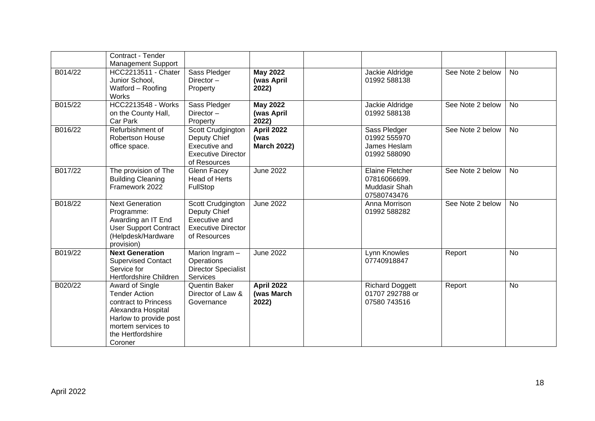|         | Contract - Tender                                                                                                                                                     |                                                                                                        |                                                 |                                                                        |                  |           |
|---------|-----------------------------------------------------------------------------------------------------------------------------------------------------------------------|--------------------------------------------------------------------------------------------------------|-------------------------------------------------|------------------------------------------------------------------------|------------------|-----------|
| B014/22 | <b>Management Support</b><br><b>HCC2213511 - Chater</b><br>Junior School,<br>Watford - Roofing<br>Works                                                               | Sass Pledger<br>Director-<br>Property                                                                  | <b>May 2022</b><br>(was April<br>2022)          | Jackie Aldridge<br>01992 588138                                        | See Note 2 below | <b>No</b> |
| B015/22 | <b>HCC2213548 - Works</b><br>on the County Hall,<br>Car Park                                                                                                          | Sass Pledger<br>Director $-$<br>Property                                                               | <b>May 2022</b><br>(was April<br>2022)          | Jackie Aldridge<br>01992 588138                                        | See Note 2 below | <b>No</b> |
| B016/22 | Refurbishment of<br>Robertson House<br>office space.                                                                                                                  | Scott Crudgington<br>Deputy Chief<br>Executive and<br><b>Executive Director</b><br>of Resources        | <b>April 2022</b><br>(was<br><b>March 2022)</b> | Sass Pledger<br>01992 555970<br>James Heslam<br>01992 588090           | See Note 2 below | <b>No</b> |
| B017/22 | The provision of The<br><b>Building Cleaning</b><br>Framework 2022                                                                                                    | Glenn Facey<br><b>Head of Herts</b><br>FullStop                                                        | <b>June 2022</b>                                | <b>Elaine Fletcher</b><br>07816066699.<br>Muddasir Shah<br>07580743476 | See Note 2 below | No        |
| B018/22 | <b>Next Generation</b><br>Programme:<br>Awarding an IT End<br><b>User Support Contract</b><br>(Helpdesk/Hardware<br>provision)                                        | Scott Crudgington<br>Deputy Chief<br><b>Executive and</b><br><b>Executive Director</b><br>of Resources | <b>June 2022</b>                                | Anna Morrison<br>01992 588282                                          | See Note 2 below | <b>No</b> |
| B019/22 | <b>Next Generation</b><br><b>Supervised Contact</b><br>Service for<br>Hertfordshire Children                                                                          | Marion Ingram -<br><b>Operations</b><br><b>Director Specialist</b><br><b>Services</b>                  | <b>June 2022</b>                                | <b>Lynn Knowles</b><br>07740918847                                     | Report           | <b>No</b> |
| B020/22 | Award of Single<br><b>Tender Action</b><br>contract to Princess<br>Alexandra Hospital<br>Harlow to provide post<br>mortem services to<br>the Hertfordshire<br>Coroner | Quentin Baker<br>Director of Law &<br>Governance                                                       | <b>April 2022</b><br>(was March<br>2022)        | <b>Richard Doggett</b><br>01707 292788 or<br>07580 743516              | Report           | No        |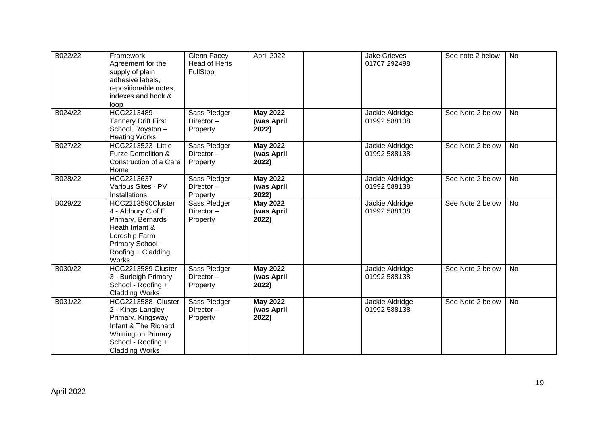| B022/22 | Framework<br>Agreement for the<br>supply of plain<br>adhesive labels,<br>repositionable notes,<br>indexes and hook &<br>loop                                        | Glenn Facey<br><b>Head of Herts</b><br>FullStop | April 2022                             | <b>Jake Grieves</b><br>01707 292498 | See note 2 below | <b>No</b> |
|---------|---------------------------------------------------------------------------------------------------------------------------------------------------------------------|-------------------------------------------------|----------------------------------------|-------------------------------------|------------------|-----------|
| B024/22 | HCC2213489 -<br><b>Tannery Drift First</b><br>School, Royston -<br><b>Heating Works</b>                                                                             | Sass Pledger<br>Director $-$<br>Property        | <b>May 2022</b><br>(was April<br>2022) | Jackie Aldridge<br>01992 588138     | See Note 2 below | <b>No</b> |
| B027/22 | HCC2213523 - Little<br>Furze Demolition &<br>Construction of a Care<br>Home                                                                                         | Sass Pledger<br>Director $-$<br>Property        | <b>May 2022</b><br>(was April<br>2022) | Jackie Aldridge<br>01992 588138     | See Note 2 below | <b>No</b> |
| B028/22 | HCC2213637 -<br>Various Sites - PV<br>Installations                                                                                                                 | Sass Pledger<br>Director $-$<br>Property        | <b>May 2022</b><br>(was April<br>2022) | Jackie Aldridge<br>01992 588138     | See Note 2 below | <b>No</b> |
| B029/22 | HCC2213590Cluster<br>4 - Aldbury C of E<br>Primary, Bernards<br>Heath Infant &<br>Lordship Farm<br>Primary School -<br>Roofing + Cladding<br><b>Works</b>           | Sass Pledger<br>Director $-$<br>Property        | <b>May 2022</b><br>(was April<br>2022) | Jackie Aldridge<br>01992 588138     | See Note 2 below | <b>No</b> |
| B030/22 | HCC2213589 Cluster<br>3 - Burleigh Primary<br>School - Roofing +<br><b>Cladding Works</b>                                                                           | Sass Pledger<br>Director-<br>Property           | <b>May 2022</b><br>(was April<br>2022) | Jackie Aldridge<br>01992 588138     | See Note 2 below | <b>No</b> |
| B031/22 | HCC2213588 - Cluster<br>2 - Kings Langley<br>Primary, Kingsway<br>Infant & The Richard<br><b>Whittington Primary</b><br>School - Roofing +<br><b>Cladding Works</b> | Sass Pledger<br>Director-<br>Property           | <b>May 2022</b><br>(was April<br>2022) | Jackie Aldridge<br>01992 588138     | See Note 2 below | <b>No</b> |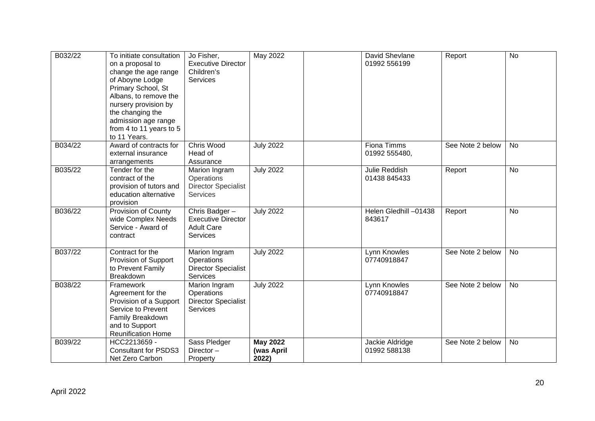| B032/22 | To initiate consultation<br>on a proposal to<br>change the age range<br>of Aboyne Lodge<br>Primary School, St<br>Albans, to remove the<br>nursery provision by<br>the changing the<br>admission age range<br>from 4 to 11 years to 5<br>to 11 Years. | Jo Fisher,<br><b>Executive Director</b><br>Children's<br><b>Services</b>           | May 2022                               | David Shevlane<br>01992 556199  | Report           | <b>No</b> |
|---------|------------------------------------------------------------------------------------------------------------------------------------------------------------------------------------------------------------------------------------------------------|------------------------------------------------------------------------------------|----------------------------------------|---------------------------------|------------------|-----------|
| B034/22 | Award of contracts for<br>external insurance<br>arrangements                                                                                                                                                                                         | Chris Wood<br>Head of<br>Assurance                                                 | <b>July 2022</b>                       | Fiona Timms<br>01992 555480,    | See Note 2 below | <b>No</b> |
| B035/22 | Tender for the<br>contract of the<br>provision of tutors and<br>education alternative<br>provision                                                                                                                                                   | Marion Ingram<br>Operations<br><b>Director Specialist</b><br><b>Services</b>       | <b>July 2022</b>                       | Julie Reddish<br>01438 845433   | Report           | <b>No</b> |
| B036/22 | Provision of County<br>wide Complex Needs<br>Service - Award of<br>contract                                                                                                                                                                          | Chris Badger-<br><b>Executive Director</b><br><b>Adult Care</b><br><b>Services</b> | <b>July 2022</b>                       | Helen Gledhill -01438<br>843617 | Report           | <b>No</b> |
| B037/22 | Contract for the<br>Provision of Support<br>to Prevent Family<br>Breakdown                                                                                                                                                                           | Marion Ingram<br>Operations<br><b>Director Specialist</b><br>Services              | <b>July 2022</b>                       | Lynn Knowles<br>07740918847     | See Note 2 below | <b>No</b> |
| B038/22 | Framework<br>Agreement for the<br>Provision of a Support<br>Service to Prevent<br>Family Breakdown<br>and to Support<br>Reunification Home                                                                                                           | Marion Ingram<br>Operations<br><b>Director Specialist</b><br><b>Services</b>       | <b>July 2022</b>                       | Lynn Knowles<br>07740918847     | See Note 2 below | <b>No</b> |
| B039/22 | HCC2213659 -<br><b>Consultant for PSDS3</b><br>Net Zero Carbon                                                                                                                                                                                       | Sass Pledger<br>Director-<br>Property                                              | <b>May 2022</b><br>(was April<br>2022) | Jackie Aldridge<br>01992 588138 | See Note 2 below | No        |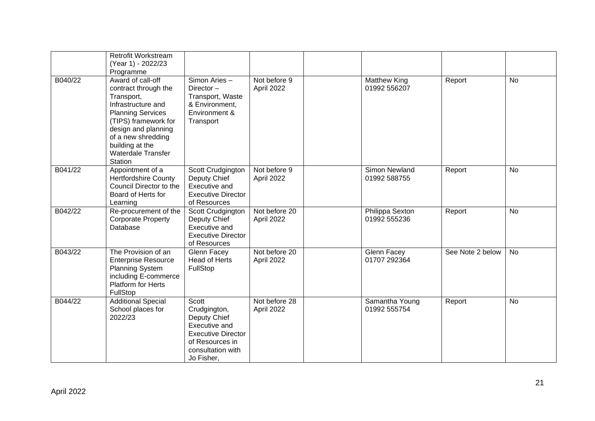|         | Retrofit Workstream<br>(Year 1) - 2022/23<br>Programme                                                                                                                                                                             |                                                                                                                                           |                             |                                 |                  |           |
|---------|------------------------------------------------------------------------------------------------------------------------------------------------------------------------------------------------------------------------------------|-------------------------------------------------------------------------------------------------------------------------------------------|-----------------------------|---------------------------------|------------------|-----------|
| B040/22 | Award of call-off<br>contract through the<br>Transport,<br>Infrastructure and<br><b>Planning Services</b><br>(TIPS) framework for<br>design and planning<br>of a new shredding<br>building at the<br>Waterdale Transfer<br>Station | Simon Aries -<br>Director-<br>Transport, Waste<br>& Environment,<br>Environment &<br>Transport                                            | Not before 9<br>April 2022  | Matthew King<br>01992 556207    | Report           | <b>No</b> |
| B041/22 | Appointment of a<br><b>Hertfordshire County</b><br>Council Director to the<br>Board of Herts for<br>Learning                                                                                                                       | Scott Crudgington<br>Deputy Chief<br>Executive and<br><b>Executive Director</b><br>of Resources                                           | Not before 9<br>April 2022  | Simon Newland<br>01992 588755   | Report           | <b>No</b> |
| B042/22 | Re-procurement of the<br><b>Corporate Property</b><br>Database                                                                                                                                                                     | Scott Crudgington<br>Deputy Chief<br>Executive and<br><b>Executive Director</b><br>of Resources                                           | Not before 20<br>April 2022 | Philippa Sexton<br>01992 555236 | Report           | <b>No</b> |
| B043/22 | The Provision of an<br><b>Enterprise Resource</b><br><b>Planning System</b><br>including E-commerce<br><b>Platform for Herts</b><br>FullStop                                                                                       | Glenn Facey<br><b>Head of Herts</b><br>FullStop                                                                                           | Not before 20<br>April 2022 | Glenn Facey<br>01707 292364     | See Note 2 below | <b>No</b> |
| B044/22 | <b>Additional Special</b><br>School places for<br>2022/23                                                                                                                                                                          | Scott<br>Crudgington,<br>Deputy Chief<br>Executive and<br><b>Executive Director</b><br>of Resources in<br>consultation with<br>Jo Fisher, | Not before 28<br>April 2022 | Samantha Young<br>01992 555754  | Report           | <b>No</b> |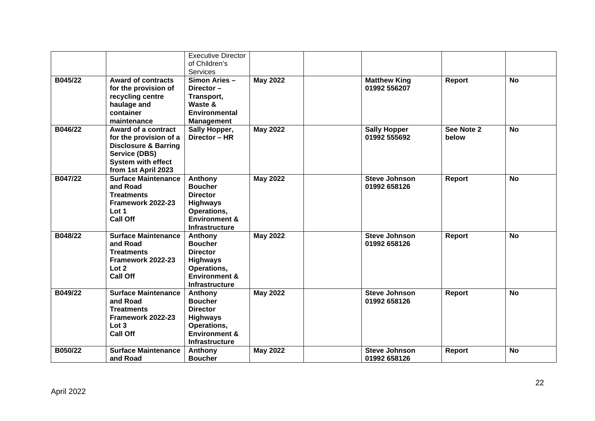|         |                                 | <b>Executive Director</b> |                 |                      |               |           |
|---------|---------------------------------|---------------------------|-----------------|----------------------|---------------|-----------|
|         |                                 | of Children's             |                 |                      |               |           |
|         |                                 | <b>Services</b>           |                 |                      |               |           |
|         |                                 |                           |                 |                      |               |           |
| B045/22 | <b>Award of contracts</b>       | Simon Aries -             | <b>May 2022</b> | <b>Matthew King</b>  | Report        | <b>No</b> |
|         | for the provision of            | Director-                 |                 | 01992 556207         |               |           |
|         | recycling centre                | Transport,                |                 |                      |               |           |
|         | haulage and                     | Waste &                   |                 |                      |               |           |
|         | container                       | <b>Environmental</b>      |                 |                      |               |           |
|         | maintenance                     | <b>Management</b>         |                 |                      |               |           |
| B046/22 | Award of a contract             | Sally Hopper,             | <b>May 2022</b> | <b>Sally Hopper</b>  | See Note 2    | <b>No</b> |
|         | for the provision of a          | Director - HR             |                 | 01992 555692         | below         |           |
|         | <b>Disclosure &amp; Barring</b> |                           |                 |                      |               |           |
|         | Service (DBS)                   |                           |                 |                      |               |           |
|         | <b>System with effect</b>       |                           |                 |                      |               |           |
|         | from 1st April 2023             |                           |                 |                      |               |           |
| B047/22 | <b>Surface Maintenance</b>      | Anthony                   | <b>May 2022</b> | <b>Steve Johnson</b> | Report        | <b>No</b> |
|         | and Road                        | <b>Boucher</b>            |                 | 01992 658126         |               |           |
|         | <b>Treatments</b>               | <b>Director</b>           |                 |                      |               |           |
|         | Framework 2022-23               | <b>Highways</b>           |                 |                      |               |           |
|         | Lot 1                           | Operations,               |                 |                      |               |           |
|         | <b>Call Off</b>                 | <b>Environment &amp;</b>  |                 |                      |               |           |
|         |                                 | <b>Infrastructure</b>     |                 |                      |               |           |
|         |                                 |                           |                 |                      |               |           |
| B048/22 | <b>Surface Maintenance</b>      | Anthony                   | <b>May 2022</b> | <b>Steve Johnson</b> | Report        | No        |
|         | and Road                        | <b>Boucher</b>            |                 | 01992 658126         |               |           |
|         | <b>Treatments</b>               | <b>Director</b>           |                 |                      |               |           |
|         | Framework 2022-23               | <b>Highways</b>           |                 |                      |               |           |
|         | Lot 2                           | Operations,               |                 |                      |               |           |
|         | <b>Call Off</b>                 | <b>Environment &amp;</b>  |                 |                      |               |           |
|         |                                 | <b>Infrastructure</b>     |                 |                      |               |           |
| B049/22 | <b>Surface Maintenance</b>      | Anthony                   | <b>May 2022</b> | <b>Steve Johnson</b> | Report        | <b>No</b> |
|         | and Road                        | <b>Boucher</b>            |                 | 01992 658126         |               |           |
|         | <b>Treatments</b>               | <b>Director</b>           |                 |                      |               |           |
|         | Framework 2022-23               | <b>Highways</b>           |                 |                      |               |           |
|         | Lot 3                           | Operations,               |                 |                      |               |           |
|         | <b>Call Off</b>                 | <b>Environment &amp;</b>  |                 |                      |               |           |
|         |                                 | <b>Infrastructure</b>     |                 |                      |               |           |
| B050/22 | <b>Surface Maintenance</b>      | Anthony                   | <b>May 2022</b> | <b>Steve Johnson</b> | <b>Report</b> | <b>No</b> |
|         | and Road                        | <b>Boucher</b>            |                 | 01992 658126         |               |           |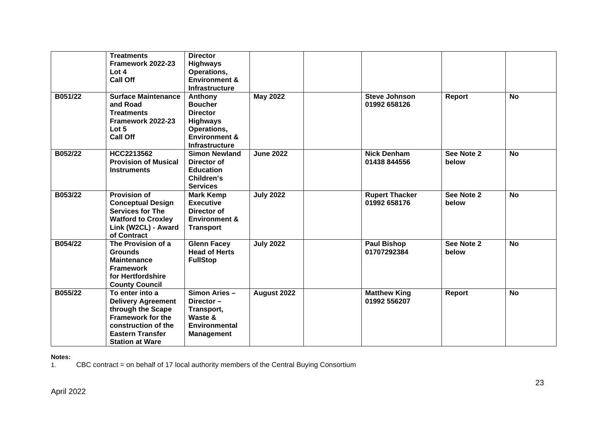|         | <b>Treatments</b><br>Framework 2022-23<br>Lot 4<br><b>Call Off</b>                                                                                                        | <b>Director</b><br><b>Highways</b><br>Operations,<br><b>Environment &amp;</b><br><b>Infrastructure</b>                   |                  |                                       |                     |           |
|---------|---------------------------------------------------------------------------------------------------------------------------------------------------------------------------|--------------------------------------------------------------------------------------------------------------------------|------------------|---------------------------------------|---------------------|-----------|
| B051/22 | <b>Surface Maintenance</b><br>and Road<br><b>Treatments</b><br>Framework 2022-23<br>Lot 5<br><b>Call Off</b>                                                              | Anthony<br><b>Boucher</b><br><b>Director</b><br><b>Highways</b><br>Operations,<br>Environment &<br><b>Infrastructure</b> | <b>May 2022</b>  | <b>Steve Johnson</b><br>01992 658126  | Report              | <b>No</b> |
| B052/22 | HCC2213562<br><b>Provision of Musical</b><br><b>Instruments</b>                                                                                                           | <b>Simon Newland</b><br>Director of<br><b>Education</b><br>Children's<br><b>Services</b>                                 | <b>June 2022</b> | <b>Nick Denham</b><br>01438 844556    | See Note 2<br>below | <b>No</b> |
| B053/22 | <b>Provision of</b><br><b>Conceptual Design</b><br><b>Services for The</b><br><b>Watford to Croxley</b><br>Link (W2CL) - Award<br>of Contract                             | <b>Mark Kemp</b><br><b>Executive</b><br>Director of<br><b>Environment &amp;</b><br><b>Transport</b>                      | <b>July 2022</b> | <b>Rupert Thacker</b><br>01992 658176 | See Note 2<br>below | <b>No</b> |
| B054/22 | The Provision of a<br><b>Grounds</b><br><b>Maintenance</b><br><b>Framework</b><br>for Hertfordshire<br><b>County Council</b>                                              | <b>Glenn Facey</b><br><b>Head of Herts</b><br><b>FullStop</b>                                                            | <b>July 2022</b> | <b>Paul Bishop</b><br>01707292384     | See Note 2<br>below | <b>No</b> |
| B055/22 | To enter into a<br><b>Delivery Agreement</b><br>through the Scape<br><b>Framework for the</b><br>construction of the<br><b>Eastern Transfer</b><br><b>Station at Ware</b> | Simon Aries -<br>Director-<br>Transport,<br>Waste &<br><b>Environmental</b><br><b>Management</b>                         | August 2022      | <b>Matthew King</b><br>01992 556207   | Report              | <b>No</b> |

**Notes:**  1. CBC contract = on behalf of 17 local authority members of the Central Buying Consortium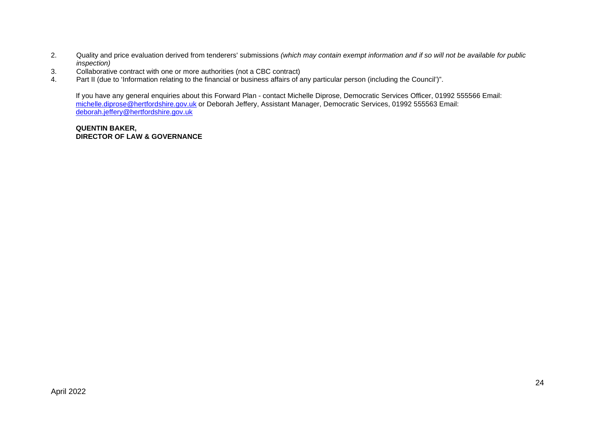- 2. Quality and price evaluation derived from tenderers' submissions *(which may contain exempt information and if so will not be available for public inspection)*
- 3. Collaborative contract with one or more authorities (not a CBC contract)
- 4. Part II (due to 'Information relating to the financial or business affairs of any particular person (including the Council')".

If you have any general enquiries about this Forward Plan - contact Michelle Diprose, Democratic Services Officer, 01992 555566 Email: [michelle.diprose@hertfordshire.gov.uk](mailto:michelle.diprose@hertfordshire.gov.uk) or Deborah Jeffery, Assistant Manager, Democratic Services, 01992 555563 Email: [deborah.jeffery@hertfordshire.gov.uk](mailto:deborah.jeffery@hertfordshire.gov.uk)

## **QUENTIN BAKER, DIRECTOR OF LAW & GOVERNANCE**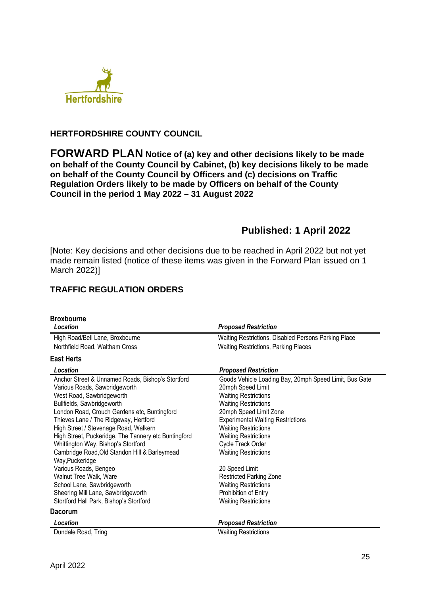

# **HERTFORDSHIRE COUNTY COUNCIL**

**FORWARD PLAN Notice of (a) key and other decisions likely to be made on behalf of the County Council by Cabinet, (b) key decisions likely to be made on behalf of the County Council by Officers and (c) decisions on Traffic Regulation Orders likely to be made by Officers on behalf of the County Council in the period 1 May 2022 – 31 August 2022** 

# **Published: 1 April 2022**

[Note: Key decisions and other decisions due to be reached in April 2022 but not yet made remain listed (notice of these items was given in the Forward Plan issued on 1 March 2022)]

# **TRAFFIC REGULATION ORDERS**

| <b>Broxbourne</b><br>Location                        | <b>Proposed Restriction</b>                            |
|------------------------------------------------------|--------------------------------------------------------|
| High Road/Bell Lane, Broxbourne                      | Waiting Restrictions, Disabled Persons Parking Place   |
| Northfield Road, Waltham Cross                       | <b>Waiting Restrictions, Parking Places</b>            |
| <b>East Herts</b>                                    |                                                        |
| Location                                             | <b>Proposed Restriction</b>                            |
| Anchor Street & Unnamed Roads, Bishop's Stortford    | Goods Vehicle Loading Bay, 20mph Speed Limit, Bus Gate |
| Various Roads, Sawbridgeworth                        | 20mph Speed Limit                                      |
| West Road, Sawbridgeworth                            | <b>Waiting Restrictions</b>                            |
| Bullfields, Sawbridgeworth                           | <b>Waiting Restrictions</b>                            |
| London Road, Crouch Gardens etc, Buntingford         | 20mph Speed Limit Zone                                 |
| Thieves Lane / The Ridgeway, Hertford                | <b>Experimental Waiting Restrictions</b>               |
| High Street / Stevenage Road, Walkern                | <b>Waiting Restrictions</b>                            |
| High Street, Puckeridge, The Tannery etc Buntingford | <b>Waiting Restrictions</b>                            |
| Whittington Way, Bishop's Stortford                  | Cycle Track Order                                      |
| Cambridge Road, Old Standon Hill & Barleymead        | <b>Waiting Restrictions</b>                            |
| Way, Puckeridge                                      |                                                        |
| Various Roads, Bengeo                                | 20 Speed Limit                                         |
| Walnut Tree Walk, Ware                               | <b>Restricted Parking Zone</b>                         |
| School Lane, Sawbridgeworth                          | <b>Waiting Restrictions</b>                            |
| Sheering Mill Lane, Sawbridgeworth                   | Prohibition of Entry                                   |
| Stortford Hall Park, Bishop's Stortford              | <b>Waiting Restrictions</b>                            |
| <b>Dacorum</b>                                       |                                                        |
| Location                                             | <b>Proposed Restriction</b>                            |
| Dundale Road, Tring                                  | <b>Waiting Restrictions</b>                            |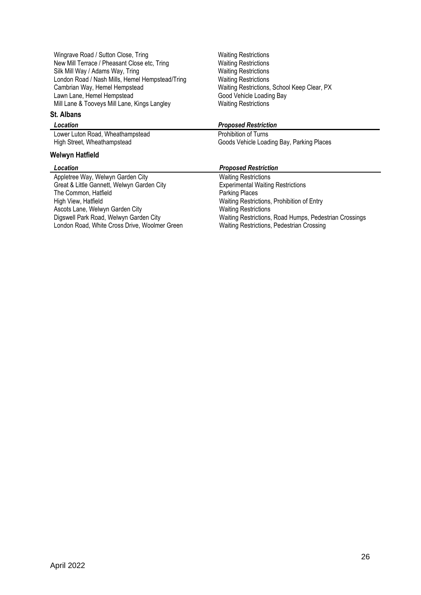Wingrave Road / Sutton Close, Tring Waiting Restrictions New Mill Terrace / Pheasant Close etc, Tring Waiting Restrictions Silk Mill Way / Adams Way, Tring Watter Waiting Restrictions London Road / Nash Mills, Hemel Hempstead/Tring Waiting Restrictions Cambrian Way, Hemel Hempstead Lawn Lane, Hemel Hempstead Mill Lane & Tooveys Mill Lane, Kings Langley Waiting Restrictions

### **St. Albans**

Lower Luton Road, Wheathampstead Prohibition of Turns

## **Welwyn Hatfield**

Appletree Way, Welwyn Garden City Waiting Restrictions Great & Little Gannett, Welwyn Garden City Experimental Waiting Restrictions<br>The Common, Hatfield Figure 2012 The Common, Hatfield<br>High View, Hatfield Ascots Lane, Welwyn Garden City<br>
Digswell Park Road, Welwyn Garden City<br>
Waiting Restrictions London Road, White Cross Drive, Woolmer Green

Waiting Restrictions, School Keep Clear, PX Good Vehicle Loading Bay

### *Location Proposed Restriction*

High Street, Wheathampstead Goods Vehicle Loading Bay, Parking Places

## *Location Proposed Restriction*

Waiting Restrictions, Prohibition of Entry Waiting Restrictions, Road Humps, Pedestrian Crossings<br>Waiting Restrictions, Pedestrian Crossing